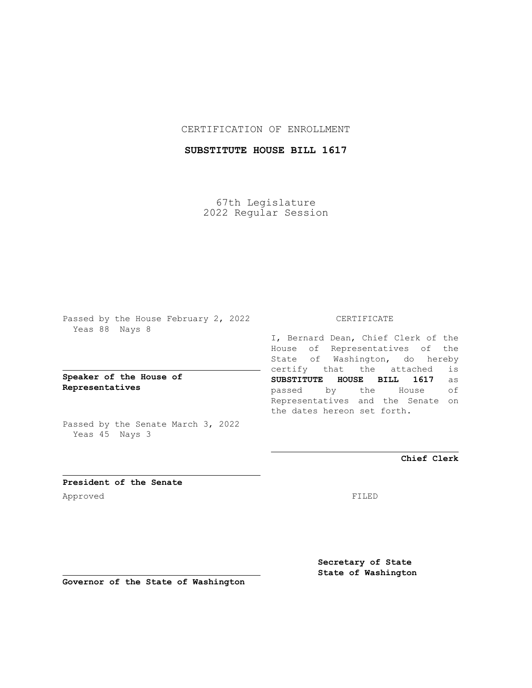## CERTIFICATION OF ENROLLMENT

## **SUBSTITUTE HOUSE BILL 1617**

67th Legislature 2022 Regular Session

Passed by the House February 2, 2022 Yeas 88 Nays 8

**Speaker of the House of Representatives**

Passed by the Senate March 3, 2022 Yeas 45 Nays 3

## CERTIFICATE

I, Bernard Dean, Chief Clerk of the House of Representatives of the State of Washington, do hereby certify that the attached is **SUBSTITUTE HOUSE BILL 1617** as passed by the House of Representatives and the Senate on the dates hereon set forth.

**Chief Clerk**

**President of the Senate** Approved FILED

**Secretary of State State of Washington**

**Governor of the State of Washington**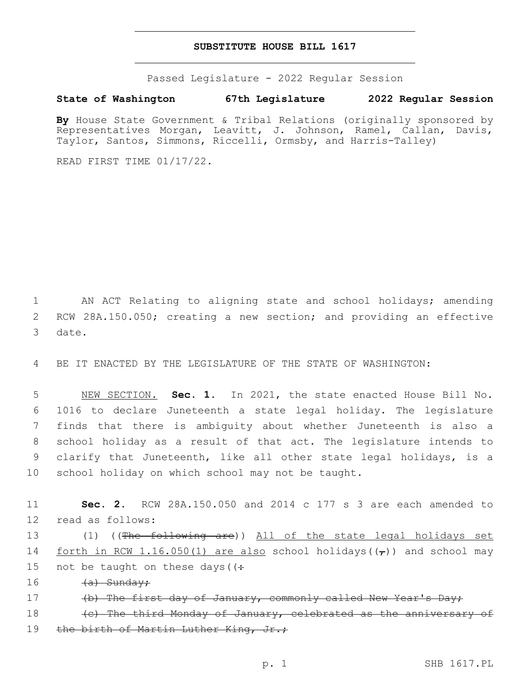## **SUBSTITUTE HOUSE BILL 1617**

Passed Legislature - 2022 Regular Session

**State of Washington 67th Legislature 2022 Regular Session**

By House State Government & Tribal Relations (originally sponsored by Representatives Morgan, Leavitt, J. Johnson, Ramel, Callan, Davis, Taylor, Santos, Simmons, Riccelli, Ormsby, and Harris-Talley)

READ FIRST TIME 01/17/22.

1 AN ACT Relating to aligning state and school holidays; amending 2 RCW 28A.150.050; creating a new section; and providing an effective 3 date.

4 BE IT ENACTED BY THE LEGISLATURE OF THE STATE OF WASHINGTON:

 NEW SECTION. **Sec. 1.** In 2021, the state enacted House Bill No. 1016 to declare Juneteenth a state legal holiday. The legislature finds that there is ambiguity about whether Juneteenth is also a school holiday as a result of that act. The legislature intends to clarify that Juneteenth, like all other state legal holidays, is a school holiday on which school may not be taught.

11 **Sec. 2.** RCW 28A.150.050 and 2014 c 177 s 3 are each amended to 12 read as follows:

13 (1) ((The following are)) All of the state legal holidays set 14 forth in RCW 1.16.050(1) are also school holidays( $(\tau)$ ) and school may 15 not be taught on these days ( $\left(\div\right)$ 

16 <del>(a) Sunday;</del>

17 (b) The first day of January, commonly called New Year's Day;

18 (c) The third Monday of January, celebrated as the anniversary of 19 the birth of Martin Luther King, Jr.;